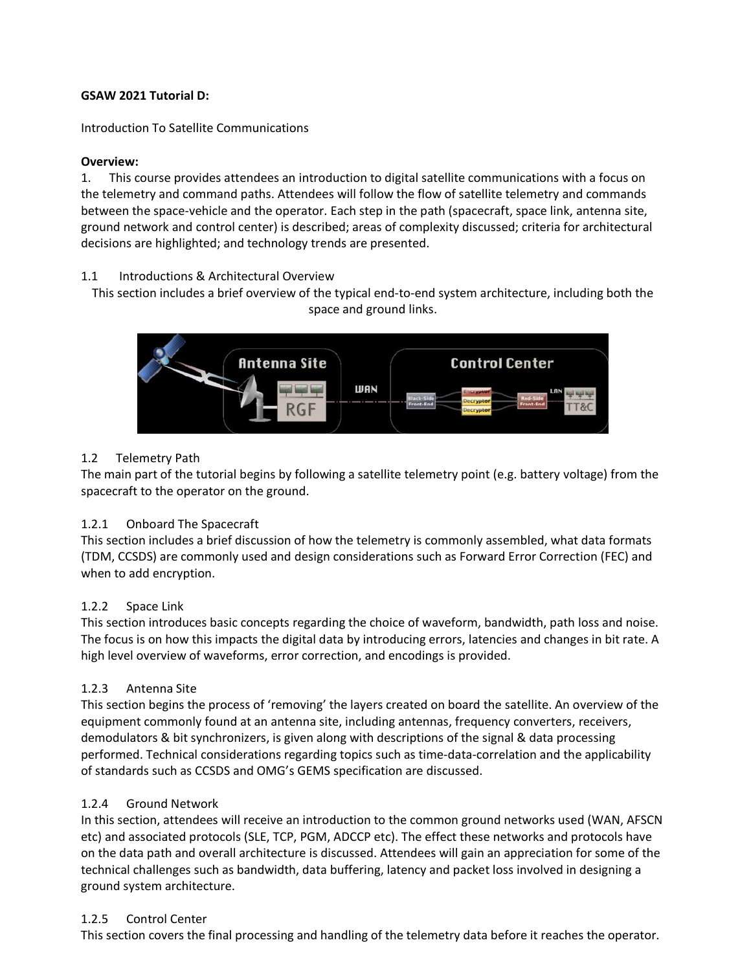## **GSAW 2021 Tutorial D:**

Introduction To Satellite Communications

## **Overview:**

1. This course provides attendees an introduction to digital satellite communications with a focus on the telemetry and command paths. Attendees will follow the flow of satellite telemetry and commands between the space-vehicle and the operator. Each step in the path (spacecraft, space link, antenna site, ground network and control center) is described; areas of complexity discussed; criteria for architectural decisions are highlighted; and technology trends are presented.

## 1.1 Introductions & Architectural Overview

This section includes a brief overview of the typical end-to-end system architecture, including both the space and ground links.



## 1.2 Telemetry Path

The main part of the tutorial begins by following a satellite telemetry point (e.g. battery voltage) from the spacecraft to the operator on the ground.

### 1.2.1 Onboard The Spacecraft

This section includes a brief discussion of how the telemetry is commonly assembled, what data formats (TDM, CCSDS) are commonly used and design considerations such as Forward Error Correction (FEC) and when to add encryption.

### 1.2.2 Space Link

This section introduces basic concepts regarding the choice of waveform, bandwidth, path loss and noise. The focus is on how this impacts the digital data by introducing errors, latencies and changes in bit rate. A high level overview of waveforms, error correction, and encodings is provided.

## 1.2.3 Antenna Site

This section begins the process of 'removing' the layers created on board the satellite. An overview of the equipment commonly found at an antenna site, including antennas, frequency converters, receivers, demodulators & bit synchronizers, is given along with descriptions of the signal & data processing performed. Technical considerations regarding topics such as time-data-correlation and the applicability of standards such as CCSDS and OMG's GEMS specification are discussed.

### 1.2.4 Ground Network

In this section, attendees will receive an introduction to the common ground networks used (WAN, AFSCN etc) and associated protocols (SLE, TCP, PGM, ADCCP etc). The effect these networks and protocols have on the data path and overall architecture is discussed. Attendees will gain an appreciation for some of the technical challenges such as bandwidth, data buffering, latency and packet loss involved in designing a ground system architecture.

### 1.2.5 Control Center

This section covers the final processing and handling of the telemetry data before it reaches the operator.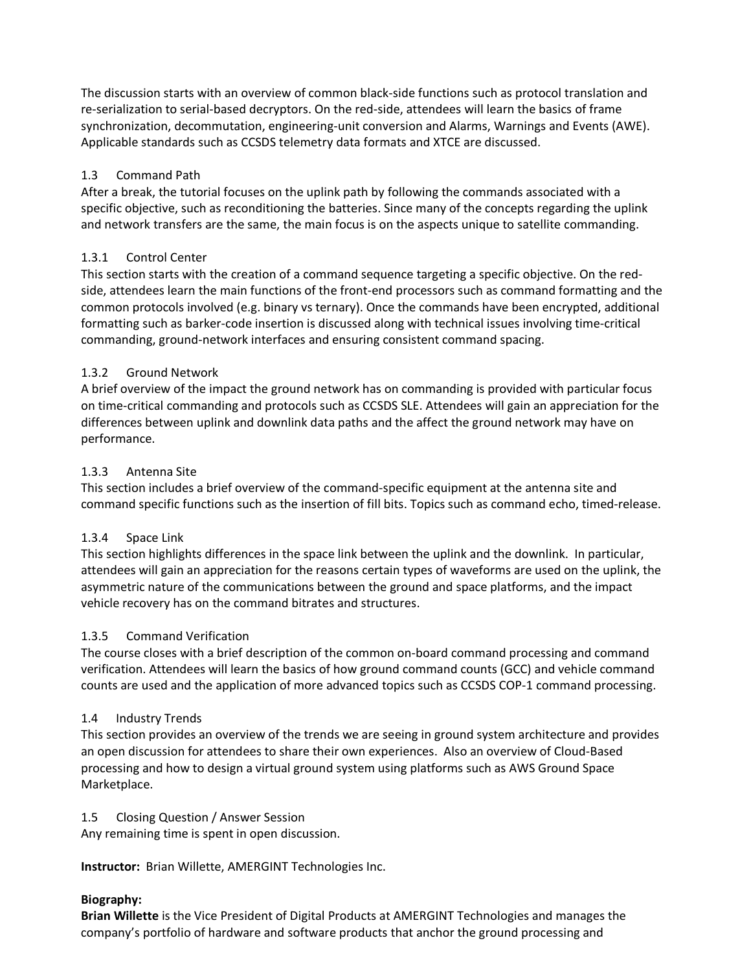The discussion starts with an overview of common black-side functions such as protocol translation and re-serialization to serial-based decryptors. On the red-side, attendees will learn the basics of frame synchronization, decommutation, engineering-unit conversion and Alarms, Warnings and Events (AWE). Applicable standards such as CCSDS telemetry data formats and XTCE are discussed.

# 1.3 Command Path

After a break, the tutorial focuses on the uplink path by following the commands associated with a specific objective, such as reconditioning the batteries. Since many of the concepts regarding the uplink and network transfers are the same, the main focus is on the aspects unique to satellite commanding.

# 1.3.1 Control Center

This section starts with the creation of a command sequence targeting a specific objective. On the redside, attendees learn the main functions of the front-end processors such as command formatting and the common protocols involved (e.g. binary vs ternary). Once the commands have been encrypted, additional formatting such as barker-code insertion is discussed along with technical issues involving time-critical commanding, ground-network interfaces and ensuring consistent command spacing.

# 1.3.2 Ground Network

A brief overview of the impact the ground network has on commanding is provided with particular focus on time-critical commanding and protocols such as CCSDS SLE. Attendees will gain an appreciation for the differences between uplink and downlink data paths and the affect the ground network may have on performance.

# 1.3.3 Antenna Site

This section includes a brief overview of the command-specific equipment at the antenna site and command specific functions such as the insertion of fill bits. Topics such as command echo, timed-release.

## 1.3.4 Space Link

This section highlights differences in the space link between the uplink and the downlink. In particular, attendees will gain an appreciation for the reasons certain types of waveforms are used on the uplink, the asymmetric nature of the communications between the ground and space platforms, and the impact vehicle recovery has on the command bitrates and structures.

## 1.3.5 Command Verification

The course closes with a brief description of the common on-board command processing and command verification. Attendees will learn the basics of how ground command counts (GCC) and vehicle command counts are used and the application of more advanced topics such as CCSDS COP-1 command processing.

## 1.4 Industry Trends

This section provides an overview of the trends we are seeing in ground system architecture and provides an open discussion for attendees to share their own experiences. Also an overview of Cloud-Based processing and how to design a virtual ground system using platforms such as AWS Ground Space Marketplace.

## 1.5 Closing Question / Answer Session

Any remaining time is spent in open discussion.

**Instructor:** Brian Willette, AMERGINT Technologies Inc.

## **Biography:**

**Brian Willette** is the Vice President of Digital Products at AMERGINT Technologies and manages the company's portfolio of hardware and software products that anchor the ground processing and